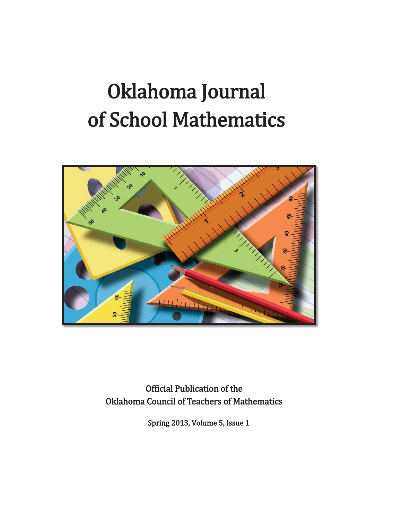# Oklahoma Journal of School Mathematics



 **Official Publication of the Oklahoma Council of Teachers of Mathematics** 

Spring 2013, Volume 5, Issue 1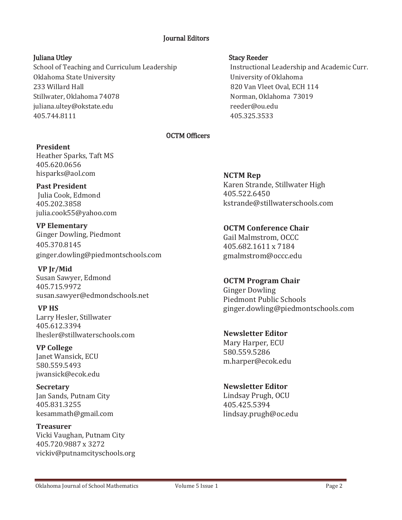## *<u>Iournal Editors</u>*

School of Teaching and Curriculum Leadership Mateus Instructional Leadership and Academic Curr. Oklahoma State University **State State State State State State State State State State State State State State St** and Hall **Solution Community Community Community** Community Community Community Community Community Community Community Community Community Community Community Community Community Community Community Community Community Co Stillwater, Oklahoma 74078 **biling and 1999** and 1999 Norman, Oklahoma 73019 juliana.ultey@okstate.edu enterprise reeder@ou.edu  $405.744.8111$   $405.325.3533$ 

### Juliana Utley Needer New York Stacy Reeder

### **OCTM Officers**

## **President**

Heather Sparks, Taft MS 405.620.0656 hisparks@aol.com

 **Past President**  Julia Cook, Edmond 405.202.3858 julia.cook55@yahoo.com

**VP Elementary**  Ginger Dowling, Piedmont 405.370.8145 ginger.dowling@piedmontschools.com

**VP Jr/Mid** Susan Sawyer, Edmond 405.715.9972 susan.sawyer@edmondschools.net

**VP HS** Larry Hesler, Stillwater 405.612.3394 lhesler@stillwaterschools.com

**VP College** Janet Wansick, ECU 580.559.5493 jwansick@ecok.edu

**Secretary** Jan Sands, Putnam City 405.831.3255 kesammath@gmail.com

**Treasurer** Vicki Vaughan, Putnam City 405.720.9887 x 3272 vickiv@putnamcityschools.org **NCTM Rep** Karen Strande, Stillwater High 405.522.6450 kstrande@stillwaterschools.com

**OCTM Conference Chair** Gail Malmstrom, OCCC 405.682.1611 x 7184 gmalmstrom@occc.edu

**OCTM Program Chair** Ginger Dowling Piedmont Public Schools ginger.dowling@piedmontschools.com

**Newsletter Editor** Mary Harper, ECU 580.559.5286 m.harper@ecok.edu

**Newsletter Editor** Lindsay Prugh, OCU 405.425.5394 lindsay.prugh@oc.edu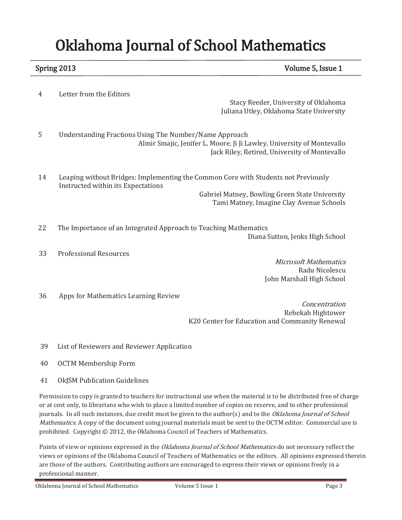## **Oklahoma Journal of School Mathematics**

Spring 2013 **Spring 2013 Spring 2013 CONSERVING A SET AND A SET A SET A SET A SET A SET A SET A SET A SET A SET A SET A SET A SET A SET A SET A SET A SET A SET A SET A SET A SET A SET A SET A SET A SET A SET A SET A SE** 

4 Letter from the Editors

Stacy Reeder, University of Oklahoma Juliana Utley, Oklahoma State University

- 5 Understanding Fractions Using The Number/Name Approach Almir Smajic, Jenifer L. Moore, Ji Ji Lawley, University of Montevallo Jack Riley, Retired, University of Montevallo
- 14 Leaping without Bridges: Implementing the Common Core with Students not Previously Instructed within its Expectations

Gabriel Matney, Bowling Green State University Tami Matney, Imagine Clay Avenue Schools

- 22 The Importance of an Integrated Approach to Teaching Mathematics Diana Sutton, Jenks High School
- 33 Professional Resources

**Microsoft Mathematics** Radu Nicolescu John Marshall High School

36 Apps for Mathematics Learning Review

Concentration Rebekah Hightower K20 Center for Education and Community Renewal

- 39 List of Reviewers and Reviewer Application
- 40 OCTM Membership Form
- 41 OkJSM Publication Guidelines

Permission to copy is granted to teachers for instructional use when the material is to be distributed free of charge or at cost only, to librarians who wish to place a limited number of copies on reserve, and to other professional journals. In all such instances, due credit must be given to the author(s) and to the *Oklahoma Journal of School Mathematics.* A copy of the document using journal materials must be sent to the OCTM editor. Commercial use is prohibited. Copyright © 2012, the Oklahoma Council of Teachers of Mathematics.

Points of view or opinions expressed in the Oklahoma Journal of School Mathematics do not necessary reflect the views or opinions of the Oklahoma Council of Teachers of Mathematics or the editors. All opinions expressed therein are those of the authors. Contributing authors are encouraged to express their views or opinions freely in a professional manner.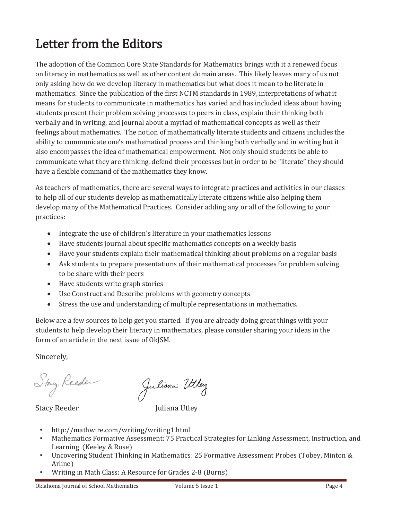## Letter from the Editors

The adoption of the Common Core State Standards for Mathematics brings with it a renewed focus on literacy in mathematics as well as other content domain areas. This likely leaves many of us not only asking how do we develop literacy in mathematics but what does it mean to be literate in mathematics. Since the publication of the first NCTM standards in 1989, interpretations of what it means for students to communicate in mathematics has varied and has included ideas about having students present their problem solving processes to peers in class, explain their thinking both verbally and in writing, and journal about a myriad of mathematical concepts as well as their feelings about mathematics. The notion of mathematically literate students and citizens includes the ability to communicate one's mathematical process and thinking both verbally and in writing but it also encompasses the idea of mathematical empowerment. Not only should students be able to communicate what they are thinking, defend their processes but in order to be "literate" they should have a flexible command of the mathematics they know.

As teachers of mathematics, there are several ways to integrate practices and activities in our classes to help all of our students develop as mathematically literate citizens while also helping them develop many of the Mathematical Practices. Consider adding any or all of the following to your practices:

- Integrate the use of children's literature in your mathematics lessons
- Have students journal about specific mathematics concepts on a weekly basis
- Have your students explain their mathematical thinking about problems on a regular basis
- Ask students to prepare presentations of their mathematical processes for problem solving to be share with their peers
- Have students write graph stories
- Use Construct and Describe problems with geometry concepts
- Stress the use and understanding of multiple representations in mathematics.

Below are a few sources to help get you started. If you are already doing great things with your students to help develop their literacy in mathematics, please consider sharing your ideas in the form of an article in the next issue of OkJSM.

Sincerely,

Stay Reeder

Juliona Utley

Stacy Reeder Management Muliana Utley

- http://mathwire.com/writing/writing1.html
- Mathematics Formative As Mathematics Formative Assessment: 75 Practical Strategies for Linking Assessment, Instruction, and
- Uncovering Student Thinking in Mathematics: 25 Formative Assessment Probes (Tobey, Minton & Arline)
- Writing in Math Class: A Resource for Grades 2-8 (Burns)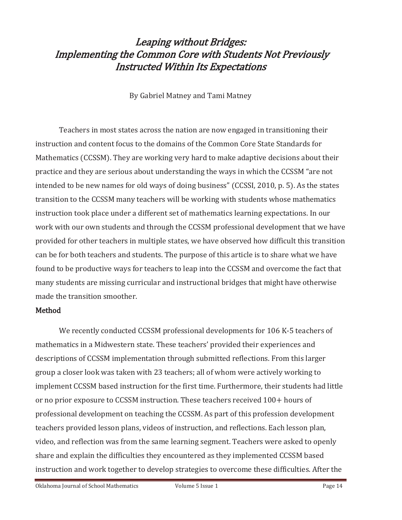## Leaping without Bridges: **Implementing the Common Core with Students Not Previously Instructed Within Its Expectations**

By Gabriel Matney and Tami Matney

Teachers in most states across the nation are now engaged in transitioning their instruction and content focus to the domains of the Common Core State Standards for Mathematics (CCSSM). They are working very hard to make adaptive decisions about their practice and they are serious about understanding the ways in which the CCSSM "are not intended to be new names for old ways of doing business" (CCSSI, 2010, p. 5). As the states transition to the CCSSM many teachers will be working with students whose mathematics instruction took place under a different set of mathematics learning expectations. In our work with our own students and through the CCSSM professional development that we have provided for other teachers in multiple states, we have observed how difficult this transition can be for both teachers and students. The purpose of this article is to share what we have found to be productive ways for teachers to leap into the CCSSM and overcome the fact that many students are missing curricular and instructional bridges that might have otherwise made the transition smoother.

## Method

We recently conducted CCSSM professional developments for 106 K-5 teachers of mathematics in a Midwestern state. These teachers' provided their experiences and descriptions of CCSSM implementation through submitted reflections. From this larger group a closer look was taken with 23 teachers; all of whom were actively working to implement CCSSM based instruction for the first time. Furthermore, their students had little or no prior exposure to CCSSM instruction. These teachers received  $100+$  hours of professional development on teaching the CCSSM. As part of this profession development teachers provided lesson plans, videos of instruction, and reflections. Each lesson plan, video, and reflection was from the same learning segment. Teachers were asked to openly share and explain the difficulties they encountered as they implemented CCSSM based instruction and work together to develop strategies to overcome these difficulties. After the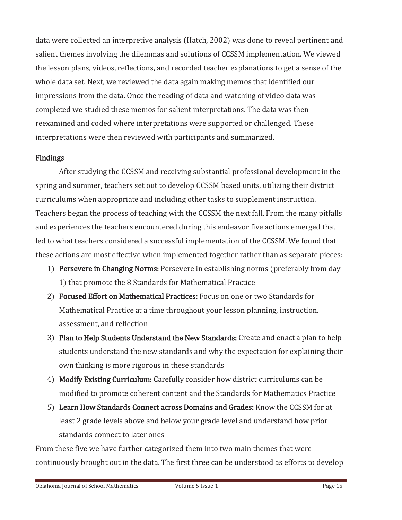data were collected an interpretive analysis (Hatch, 2002) was done to reveal pertinent and salient themes involving the dilemmas and solutions of CCSSM implementation. We viewed the lesson plans, videos, reflections, and recorded teacher explanations to get a sense of the whole data set. Next, we reviewed the data again making memos that identified our impressions from the data. Once the reading of data and watching of video data was completed we studied these memos for salient interpretations. The data was then reexamined and coded where interpretations were supported or challenged. These interpretations were then reviewed with participants and summarized.

## **Findings**

After studying the CCSSM and receiving substantial professional development in the spring and summer, teachers set out to develop CCSSM based units, utilizing their district curriculums when appropriate and including other tasks to supplement instruction. Teachers began the process of teaching with the CCSSM the next fall. From the many pitfalls and experiences the teachers encountered during this endeavor five actions emerged that led to what teachers considered a successful implementation of the CCSSM. We found that these actions are most effective when implemented together rather than as separate pieces:

- 1) Persevere in Changing Norms: Persevere in establishing norms (preferably from day 1) that promote the 8 Standards for Mathematical Practice
- 2) Focused Effort on Mathematical Practices: Focus on one or two Standards for Mathematical Practice at a time throughout your lesson planning, instruction, assessment, and reflection
- 3) Plan to Help Students Understand the New Standards: Create and enact a plan to help students understand the new standards and why the expectation for explaining their own thinking is more rigorous in these standards
- 4) Modify Existing Curriculum: Carefully consider how district curriculums can be modified to promote coherent content and the Standards for Mathematics Practice
- 5) Learn How Standards Connect across Domains and Grades: Know the CCSSM for at least 2 grade levels above and below your grade level and understand how prior standards connect to later ones

From these five we have further categorized them into two main themes that were continuously brought out in the data. The first three can be understood as efforts to develop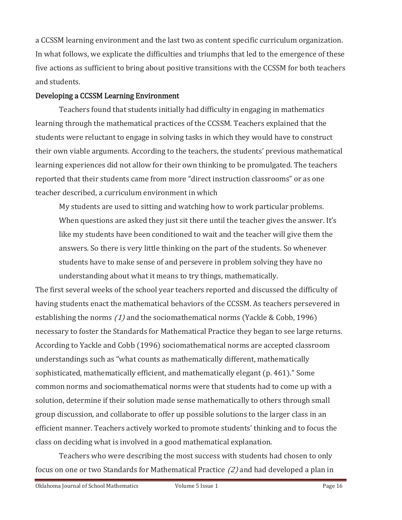a CCSSM learning environment and the last two as content specific curriculum organization. In what follows, we explicate the difficulties and triumphs that led to the emergence of these five actions as sufficient to bring about positive transitions with the CCSSM for both teachers and students.

## Developing a CCSSM Learning Environment

Teachers found that students initially had difficulty in engaging in mathematics learning through the mathematical practices of the CCSSM. Teachers explained that the students were reluctant to engage in solving tasks in which they would have to construct their own viable arguments. According to the teachers, the students' previous mathematical learning experiences did not allow for their own thinking to be promulgated. The teachers reported that their students came from more "direct instruction classrooms" or as one teacher described, a curriculum environment in which

My students are used to sitting and watching how to work particular problems. When questions are asked they just sit there until the teacher gives the answer. It's like my students have been conditioned to wait and the teacher will give them the answers. So there is very little thinking on the part of the students. So whenever students have to make sense of and persevere in problem solving they have no understanding about what it means to try things, mathematically.

The first several weeks of the school year teachers reported and discussed the difficulty of having students enact the mathematical behaviors of the CCSSM. As teachers persevered in establishing the norms  $(1)$  and the sociomathematical norms (Yackle & Cobb, 1996) necessary to foster the Standards for Mathematical Practice they began to see large returns. According to Yackle and Cobb (1996) sociomathematical norms are accepted classroom understandings such as "what counts as mathematically different, mathematically sophisticated, mathematically efficient, and mathematically elegant (p. 461)." Some common norms and sociomathematical norms were that students had to come up with a solution, determine if their solution made sense mathematically to others through small group discussion, and collaborate to offer up possible solutions to the larger class in an efficient manner. Teachers actively worked to promote students' thinking and to focus the class on deciding what is involved in a good mathematical explanation.

Teachers who were describing the most success with students had chosen to only focus on one or two Standards for Mathematical Practice (2) and had developed a plan in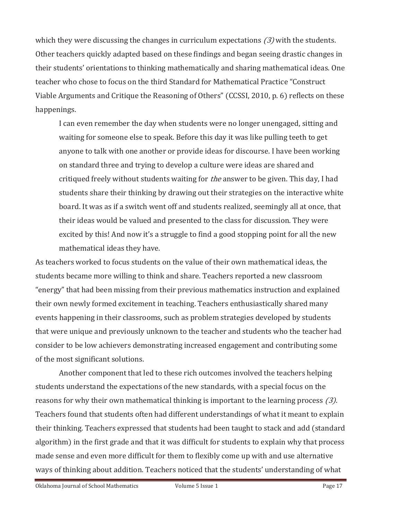which they were discussing the changes in curriculum expectations  $(3)$  with the students. Other teachers quickly adapted based on these findings and began seeing drastic changes in their students' orientations to thinking mathematically and sharing mathematical ideas. One teacher who chose to focus on the third Standard for Mathematical Practice "Construct" Viable Arguments and Critique the Reasoning of Others" (CCSSI, 2010, p. 6) reflects on these happenings.

I can even remember the day when students were no longer unengaged, sitting and waiting for someone else to speak. Before this day it was like pulling teeth to get anyone to talk with one another or provide ideas for discourse. I have been working on standard three and trying to develop a culture were ideas are shared and critiqued freely without students waiting for *the* answer to be given. This day, I had students share their thinking by drawing out their strategies on the interactive white board. It was as if a switch went off and students realized, seemingly all at once, that their ideas would be valued and presented to the class for discussion. They were excited by this! And now it's a struggle to find a good stopping point for all the new mathematical ideas they have.

As teachers worked to focus students on the value of their own mathematical ideas, the students became more willing to think and share. Teachers reported a new classroom "energy" that had been missing from their previous mathematics instruction and explained their own newly formed excitement in teaching. Teachers enthusiastically shared many events happening in their classrooms, such as problem strategies developed by students that were unique and previously unknown to the teacher and students who the teacher had consider to be low achievers demonstrating increased engagement and contributing some of the most significant solutions.

Another component that led to these rich outcomes involved the teachers helping students understand the expectations of the new standards, with a special focus on the reasons for why their own mathematical thinking is important to the learning process  $(3)$ . Teachers found that students often had different understandings of what it meant to explain their thinking. Teachers expressed that students had been taught to stack and add (standard algorithm) in the first grade and that it was difficult for students to explain why that process made sense and even more difficult for them to flexibly come up with and use alternative ways of thinking about addition. Teachers noticed that the students' understanding of what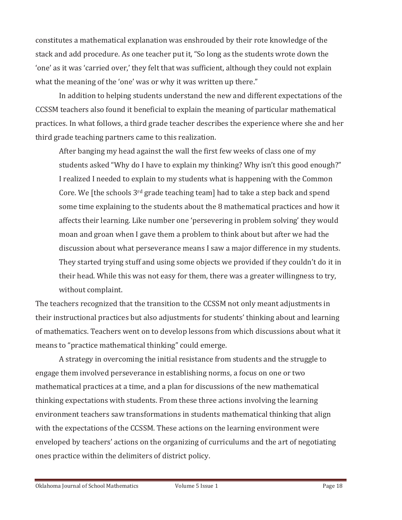constitutes a mathematical explanation was enshrouded by their rote knowledge of the stack and add procedure. As one teacher put it, "So long as the students wrote down the 'one' as it was 'carried over,' they felt that was sufficient, although they could not explain what the meaning of the 'one' was or why it was written up there."

In addition to helping students understand the new and different expectations of the CCSSM teachers also found it beneficial to explain the meaning of particular mathematical practices. In what follows, a third grade teacher describes the experience where she and her third grade teaching partners came to this realization.

After banging my head against the wall the first few weeks of class one of my students asked "Why do I have to explain my thinking? Why isn't this good enough?" I realized I needed to explain to my students what is happening with the Common Core. We [the schools 3<sup>rd</sup> grade teaching team] had to take a step back and spend some time explaining to the students about the 8 mathematical practices and how it affects their learning. Like number one 'persevering in problem solving' they would moan and groan when I gave them a problem to think about but after we had the discussion about what perseverance means I saw a major difference in my students. They started trying stuff and using some objects we provided if they couldn't do it in their head. While this was not easy for them, there was a greater willingness to try, without complaint.

The teachers recognized that the transition to the CCSSM not only meant adjustments in their instructional practices but also adjustments for students' thinking about and learning of mathematics. Teachers went on to develop lessons from which discussions about what it means to "practice mathematical thinking" could emerge.

A strategy in overcoming the initial resistance from students and the struggle to engage them involved perseverance in establishing norms, a focus on one or two mathematical practices at a time, and a plan for discussions of the new mathematical thinking expectations with students. From these three actions involving the learning environment teachers saw transformations in students mathematical thinking that align with the expectations of the CCSSM. These actions on the learning environment were enveloped by teachers' actions on the organizing of curriculums and the art of negotiating ones practice within the delimiters of district policy.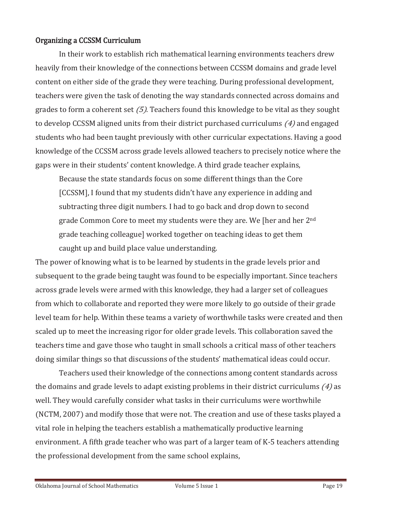## Organizing a CCSSM Curriculum

In their work to establish rich mathematical learning environments teachers drew heavily from their knowledge of the connections between CCSSM domains and grade level content on either side of the grade they were teaching. During professional development, teachers were given the task of denoting the way standards connected across domains and grades to form a coherent set  $(5)$ . Teachers found this knowledge to be vital as they sought to develop CCSSM aligned units from their district purchased curriculums  $(4)$  and engaged students who had been taught previously with other curricular expectations. Having a good knowledge of the CCSSM across grade levels allowed teachers to precisely notice where the gaps were in their students' content knowledge. A third grade teacher explains,

Because the state standards focus on some different things than the Core [CCSSM], I found that my students didn't have any experience in adding and subtracting three digit numbers. I had to go back and drop down to second grade Common Core to meet my students were they are. We [her and her 2<sup>nd</sup> grade teaching colleague] worked together on teaching ideas to get them caught up and build place value understanding.

The power of knowing what is to be learned by students in the grade levels prior and subsequent to the grade being taught was found to be especially important. Since teachers across grade levels were armed with this knowledge, they had a larger set of colleagues from which to collaborate and reported they were more likely to go outside of their grade level team for help. Within these teams a variety of worthwhile tasks were created and then scaled up to meet the increasing rigor for older grade levels. This collaboration saved the teachers time and gave those who taught in small schools a critical mass of other teachers doing similar things so that discussions of the students' mathematical ideas could occur.

Teachers used their knowledge of the connections among content standards across the domains and grade levels to adapt existing problems in their district curriculums  $(4)$  as well. They would carefully consider what tasks in their curriculums were worthwhile (NCTM, 2007) and modify those that were not. The creation and use of these tasks played a vital role in helping the teachers establish a mathematically productive learning environment. A fifth grade teacher who was part of a larger team of K-5 teachers attending the professional development from the same school explains.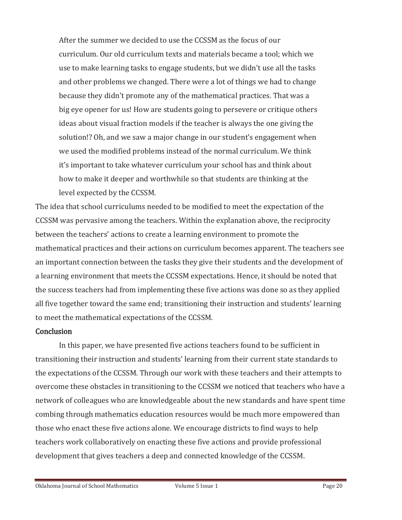After the summer we decided to use the CCSSM as the focus of our curriculum. Our old curriculum texts and materials became a tool; which we use to make learning tasks to engage students, but we didn't use all the tasks and other problems we changed. There were a lot of things we had to change because they didn't promote any of the mathematical practices. That was a big eye opener for us! How are students going to persevere or critique others ideas about visual fraction models if the teacher is always the one giving the solution!? Oh, and we saw a major change in our student's engagement when we used the modified problems instead of the normal curriculum. We think it's important to take whatever curriculum your school has and think about how to make it deeper and worthwhile so that students are thinking at the level expected by the CCSSM.

The idea that school curriculums needed to be modified to meet the expectation of the CCSSM was pervasive among the teachers. Within the explanation above, the reciprocity between the teachers' actions to create a learning environment to promote the mathematical practices and their actions on curriculum becomes apparent. The teachers see an important connection between the tasks they give their students and the development of a learning environment that meets the CCSSM expectations. Hence, it should be noted that the success teachers had from implementing these five actions was done so as they applied all five together toward the same end; transitioning their instruction and students' learning to meet the mathematical expectations of the CCSSM.

## **Conclusion**

In this paper, we have presented five actions teachers found to be sufficient in transitioning their instruction and students' learning from their current state standards to the expectations of the CCSSM. Through our work with these teachers and their attempts to overcome these obstacles in transitioning to the CCSSM we noticed that teachers who have a network of colleagues who are knowledgeable about the new standards and have spent time combing through mathematics education resources would be much more empowered than those who enact these five actions alone. We encourage districts to find ways to help teachers work collaboratively on enacting these five actions and provide professional development that gives teachers a deep and connected knowledge of the CCSSM.